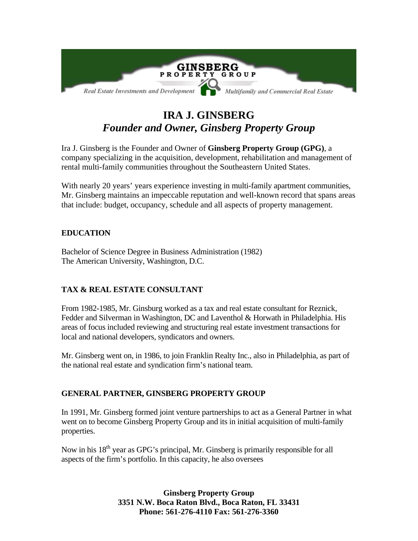

# **IRA J. GINSBERG**  *Founder and Owner, Ginsberg Property Group*

Ira J. Ginsberg is the Founder and Owner of **Ginsberg Property Group (GPG)**, a company specializing in the acquisition, development, rehabilitation and management of rental multi-family communities throughout the Southeastern United States.

With nearly 20 years' years experience investing in multi-family apartment communities, Mr. Ginsberg maintains an impeccable reputation and well-known record that spans areas that include: budget, occupancy, schedule and all aspects of property management.

## **EDUCATION**

Bachelor of Science Degree in Business Administration (1982) The American University, Washington, D.C.

## **TAX & REAL ESTATE CONSULTANT**

From 1982-1985, Mr. Ginsburg worked as a tax and real estate consultant for Reznick, Fedder and Silverman in Washington, DC and Laventhol & Horwath in Philadelphia. His areas of focus included reviewing and structuring real estate investment transactions for local and national developers, syndicators and owners.

Mr. Ginsberg went on, in 1986, to join Franklin Realty Inc., also in Philadelphia, as part of the national real estate and syndication firm's national team.

### **GENERAL PARTNER, GINSBERG PROPERTY GROUP**

In 1991, Mr. Ginsberg formed joint venture partnerships to act as a General Partner in what went on to become Ginsberg Property Group and its in initial acquisition of multi-family properties.

Now in his  $18<sup>th</sup>$  year as GPG's principal, Mr. Ginsberg is primarily responsible for all aspects of the firm's portfolio. In this capacity, he also oversees

> **Ginsberg Property Group 3351 N.W. Boca Raton Blvd., Boca Raton, FL 33431 Phone: 561-276-4110 Fax: 561-276-3360**